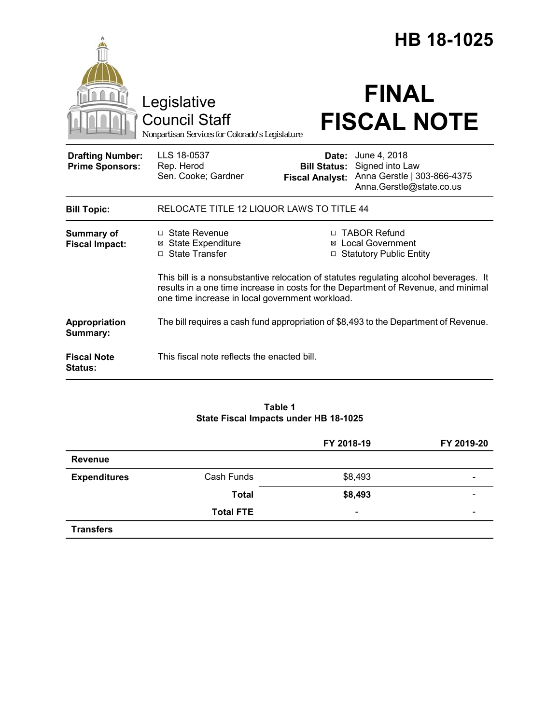|                                                   |                                                                                                                                                                                                                                |                                                        | HB 18-1025                                                                                 |
|---------------------------------------------------|--------------------------------------------------------------------------------------------------------------------------------------------------------------------------------------------------------------------------------|--------------------------------------------------------|--------------------------------------------------------------------------------------------|
|                                                   | Legislative<br><b>Council Staff</b><br>Nonpartisan Services for Colorado's Legislature                                                                                                                                         |                                                        | <b>FINAL</b><br><b>FISCAL NOTE</b>                                                         |
| <b>Drafting Number:</b><br><b>Prime Sponsors:</b> | LLS 18-0537<br>Rep. Herod<br>Sen. Cooke; Gardner                                                                                                                                                                               | Date:<br><b>Bill Status:</b><br><b>Fiscal Analyst:</b> | June 4, 2018<br>Signed into Law<br>Anna Gerstle   303-866-4375<br>Anna.Gerstle@state.co.us |
| <b>Bill Topic:</b>                                | RELOCATE TITLE 12 LIQUOR LAWS TO TITLE 44                                                                                                                                                                                      |                                                        |                                                                                            |
| <b>Summary of</b><br><b>Fiscal Impact:</b>        | □ State Revenue<br><b>⊠</b> State Expenditure<br>□ State Transfer                                                                                                                                                              |                                                        | □ TABOR Refund<br>⊠ Local Government<br><b>Statutory Public Entity</b>                     |
|                                                   | This bill is a nonsubstantive relocation of statutes regulating alcohol beverages. It<br>results in a one time increase in costs for the Department of Revenue, and minimal<br>one time increase in local government workload. |                                                        |                                                                                            |
| Appropriation<br>Summary:                         | The bill requires a cash fund appropriation of \$8,493 to the Department of Revenue.                                                                                                                                           |                                                        |                                                                                            |
| <b>Fiscal Note</b><br><b>Status:</b>              | This fiscal note reflects the enacted bill.                                                                                                                                                                                    |                                                        |                                                                                            |

## **Table 1 State Fiscal Impacts under HB 18-1025**

|                     |                  | FY 2018-19               | FY 2019-20               |
|---------------------|------------------|--------------------------|--------------------------|
| <b>Revenue</b>      |                  |                          |                          |
| <b>Expenditures</b> | Cash Funds       | \$8,493                  | $\overline{\phantom{0}}$ |
|                     | <b>Total</b>     | \$8,493                  |                          |
|                     | <b>Total FTE</b> | $\overline{\phantom{a}}$ | $\overline{\phantom{0}}$ |
| <b>Transfers</b>    |                  |                          |                          |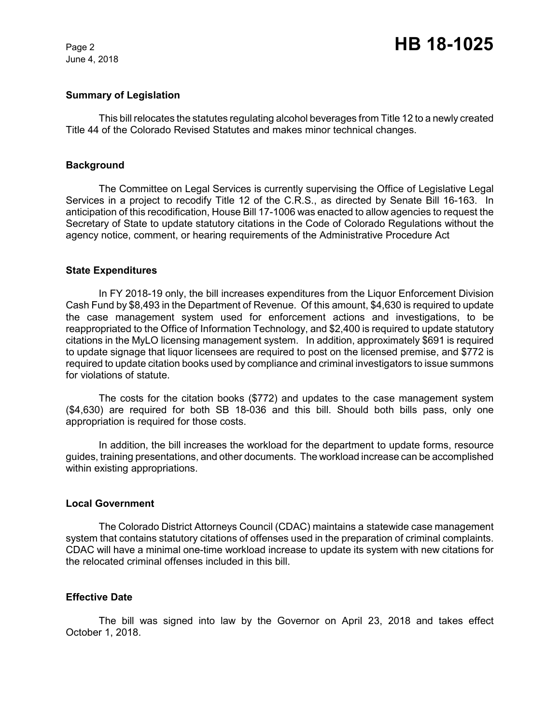June 4, 2018

# Page 2 **HB 18-1025**

## **Summary of Legislation**

This bill relocates the statutes regulating alcohol beverages from Title 12 to a newly created Title 44 of the Colorado Revised Statutes and makes minor technical changes.

#### **Background**

The Committee on Legal Services is currently supervising the Office of Legislative Legal Services in a project to recodify Title 12 of the C.R.S., as directed by Senate Bill 16-163. In anticipation of this recodification, House Bill 17-1006 was enacted to allow agencies to request the Secretary of State to update statutory citations in the Code of Colorado Regulations without the agency notice, comment, or hearing requirements of the Administrative Procedure Act

#### **State Expenditures**

In FY 2018-19 only, the bill increases expenditures from the Liquor Enforcement Division Cash Fund by \$8,493 in the Department of Revenue. Of this amount, \$4,630 is required to update the case management system used for enforcement actions and investigations, to be reappropriated to the Office of Information Technology, and \$2,400 is required to update statutory citations in the MyLO licensing management system. In addition, approximately \$691 is required to update signage that liquor licensees are required to post on the licensed premise, and \$772 is required to update citation books used by compliance and criminal investigators to issue summons for violations of statute.

The costs for the citation books (\$772) and updates to the case management system (\$4,630) are required for both SB 18-036 and this bill. Should both bills pass, only one appropriation is required for those costs.

In addition, the bill increases the workload for the department to update forms, resource guides, training presentations, and other documents. The workload increase can be accomplished within existing appropriations.

#### **Local Government**

The Colorado District Attorneys Council (CDAC) maintains a statewide case management system that contains statutory citations of offenses used in the preparation of criminal complaints. CDAC will have a minimal one-time workload increase to update its system with new citations for the relocated criminal offenses included in this bill.

#### **Effective Date**

The bill was signed into law by the Governor on April 23, 2018 and takes effect October 1, 2018.